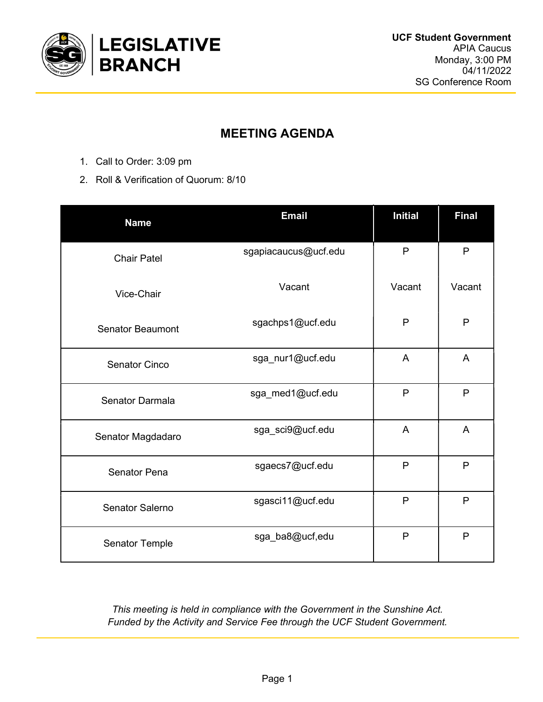

## MEETING AGENDA

- 1. Call to Order: 3:09 pm
- 2. Roll & Verification of Quorum: 8/10

| <b>Name</b>             | <b>Email</b>         | <b>Initial</b> | <b>Final</b>   |
|-------------------------|----------------------|----------------|----------------|
| <b>Chair Patel</b>      | sgapiacaucus@ucf.edu | $\mathsf{P}$   | P              |
| Vice-Chair              | Vacant               | Vacant         | Vacant         |
| <b>Senator Beaumont</b> | sgachps1@ucf.edu     | P              | P              |
| <b>Senator Cinco</b>    | sga_nur1@ucf.edu     | A              | $\overline{A}$ |
| Senator Darmala         | sga_med1@ucf.edu     | $\mathsf{P}$   | P              |
| Senator Magdadaro       | sga_sci9@ucf.edu     | A              | A              |
| <b>Senator Pena</b>     | sgaecs7@ucf.edu      | P              | P              |
| Senator Salerno         | sgasci11@ucf.edu     | P              | P              |
| Senator Temple          | sga_ba8@ucf,edu      | $\mathsf{P}$   | P              |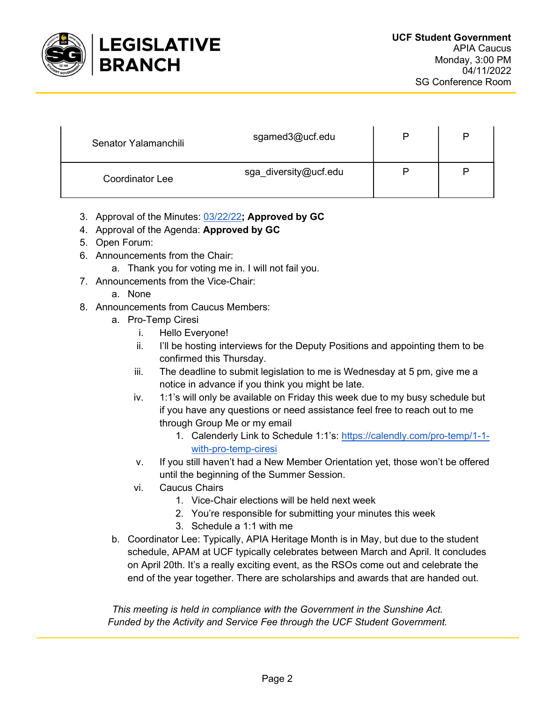

| Senator Yalamanchili   | sgamed3@ucf.edu       | P |
|------------------------|-----------------------|---|
| <b>Coordinator Lee</b> | sga_diversity@ucf.edu |   |

- 3. Approval of the Minutes: 03/22/22; Approved by GC
- 4. Approval of the Agenda: Approved by GC
- 5. Open Forum:
- 6. Announcements from the Chair:
	- a. Thank you for voting me in. I will not fail you.
- 7. Announcements from the Vice-Chair:
	- a. None
- 8. Announcements from Caucus Members:
	- a. Pro-Temp Ciresi
		- i. Hello Everyone!
		- ii. I'll be hosting interviews for the Deputy Positions and appointing them to be confirmed this Thursday.
		- iii. The deadline to submit legislation to me is Wednesday at 5 pm, give me a notice in advance if you think you might be late.
		- iv. 1:1's will only be available on Friday this week due to my busy schedule but if you have any questions or need assistance feel free to reach out to me through Group Me or my email
			- 1. Calenderly Link to Schedule 1:1's: https://calendly.com/pro-temp/1-1 with-pro-temp-ciresi
		- v. If you still haven't had a New Member Orientation yet, those won't be offered until the beginning of the Summer Session.
		- vi. Caucus Chairs
			- 1. Vice-Chair elections will be held next week
			- 2. You're responsible for submitting your minutes this week
			- 3. Schedule a 1:1 with me
	- b. Coordinator Lee: Typically, APIA Heritage Month is in May, but due to the student schedule, APAM at UCF typically celebrates between March and April. It concludes on April 20th. It's a really exciting event, as the RSOs come out and celebrate the end of the year together. There are scholarships and awards that are handed out.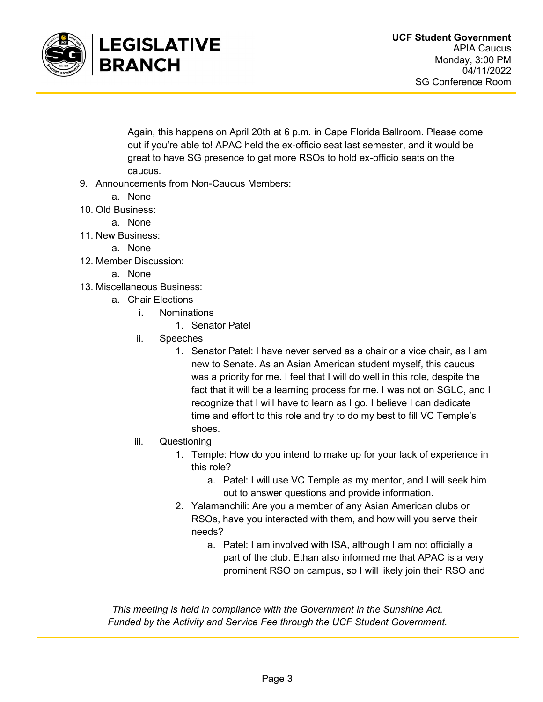

Again, this happens on April 20th at 6 p.m. in Cape Florida Ballroom. Please come out if you're able to! APAC held the ex-officio seat last semester, and it would be great to have SG presence to get more RSOs to hold ex-officio seats on the caucus.

- 9. Announcements from Non-Caucus Members:
	- a. None
- 10. Old Business:
	- a. None
- 11. New Business:
	- a. None
- 12. Member Discussion:
	- a. None
- 13. Miscellaneous Business:
	- a. Chair Elections
		- i. Nominations
			- 1. Senator Patel
		- ii. Speeches
			- 1. Senator Patel: I have never served as a chair or a vice chair, as I am new to Senate. As an Asian American student myself, this caucus was a priority for me. I feel that I will do well in this role, despite the fact that it will be a learning process for me. I was not on SGLC, and I recognize that I will have to learn as I go. I believe I can dedicate time and effort to this role and try to do my best to fill VC Temple's shoes.
		- iii. Questioning
			- 1. Temple: How do you intend to make up for your lack of experience in this role?
				- a. Patel: I will use VC Temple as my mentor, and I will seek him out to answer questions and provide information.
			- 2. Yalamanchili: Are you a member of any Asian American clubs or RSOs, have you interacted with them, and how will you serve their needs?
				- a. Patel: I am involved with ISA, although I am not officially a part of the club. Ethan also informed me that APAC is a very prominent RSO on campus, so I will likely join their RSO and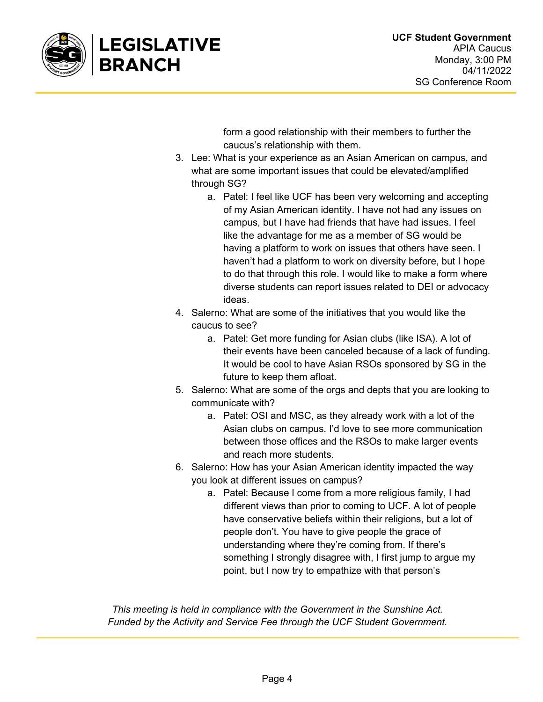

form a good relationship with their members to further the caucus's relationship with them.

- 3. Lee: What is your experience as an Asian American on campus, and what are some important issues that could be elevated/amplified through SG?
	- a. Patel: I feel like UCF has been very welcoming and accepting of my Asian American identity. I have not had any issues on campus, but I have had friends that have had issues. I feel like the advantage for me as a member of SG would be having a platform to work on issues that others have seen. I haven't had a platform to work on diversity before, but I hope to do that through this role. I would like to make a form where diverse students can report issues related to DEI or advocacy ideas.
- 4. Salerno: What are some of the initiatives that you would like the caucus to see?
	- a. Patel: Get more funding for Asian clubs (like ISA). A lot of their events have been canceled because of a lack of funding. It would be cool to have Asian RSOs sponsored by SG in the future to keep them afloat.
- 5. Salerno: What are some of the orgs and depts that you are looking to communicate with?
	- a. Patel: OSI and MSC, as they already work with a lot of the Asian clubs on campus. I'd love to see more communication between those offices and the RSOs to make larger events and reach more students.
- 6. Salerno: How has your Asian American identity impacted the way you look at different issues on campus?
	- a. Patel: Because I come from a more religious family, I had different views than prior to coming to UCF. A lot of people have conservative beliefs within their religions, but a lot of people don't. You have to give people the grace of understanding where they're coming from. If there's something I strongly disagree with, I first jump to argue my point, but I now try to empathize with that person's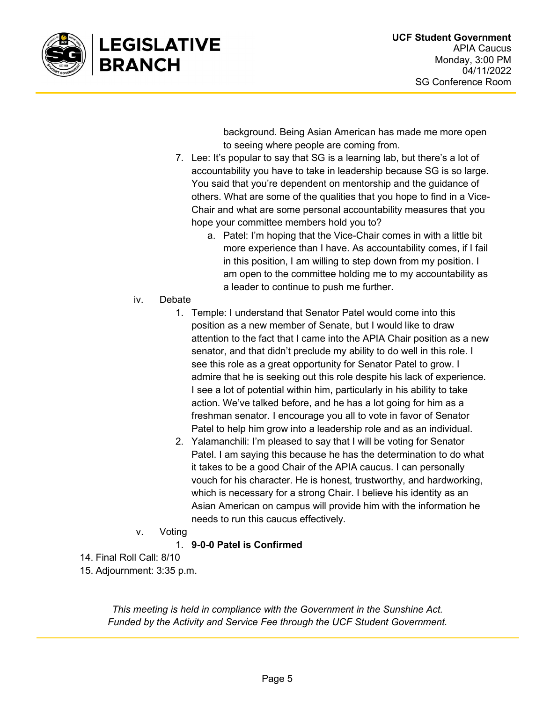

background. Being Asian American has made me more open to seeing where people are coming from.

- 7. Lee: It's popular to say that SG is a learning lab, but there's a lot of accountability you have to take in leadership because SG is so large. You said that you're dependent on mentorship and the guidance of others. What are some of the qualities that you hope to find in a Vice-Chair and what are some personal accountability measures that you hope your committee members hold you to?
	- a. Patel: I'm hoping that the Vice-Chair comes in with a little bit more experience than I have. As accountability comes, if I fail in this position, I am willing to step down from my position. I am open to the committee holding me to my accountability as a leader to continue to push me further.
- iv. Debate
	- 1. Temple: I understand that Senator Patel would come into this position as a new member of Senate, but I would like to draw attention to the fact that I came into the APIA Chair position as a new senator, and that didn't preclude my ability to do well in this role. I see this role as a great opportunity for Senator Patel to grow. I admire that he is seeking out this role despite his lack of experience. I see a lot of potential within him, particularly in his ability to take action. We've talked before, and he has a lot going for him as a freshman senator. I encourage you all to vote in favor of Senator Patel to help him grow into a leadership role and as an individual.
	- 2. Yalamanchili: I'm pleased to say that I will be voting for Senator Patel. I am saying this because he has the determination to do what it takes to be a good Chair of the APIA caucus. I can personally vouch for his character. He is honest, trustworthy, and hardworking, which is necessary for a strong Chair. I believe his identity as an Asian American on campus will provide him with the information he needs to run this caucus effectively.
- v. Voting

1. 9-0-0 Patel is Confirmed

- 14. Final Roll Call: 8/10
- 15. Adjournment: 3:35 p.m.